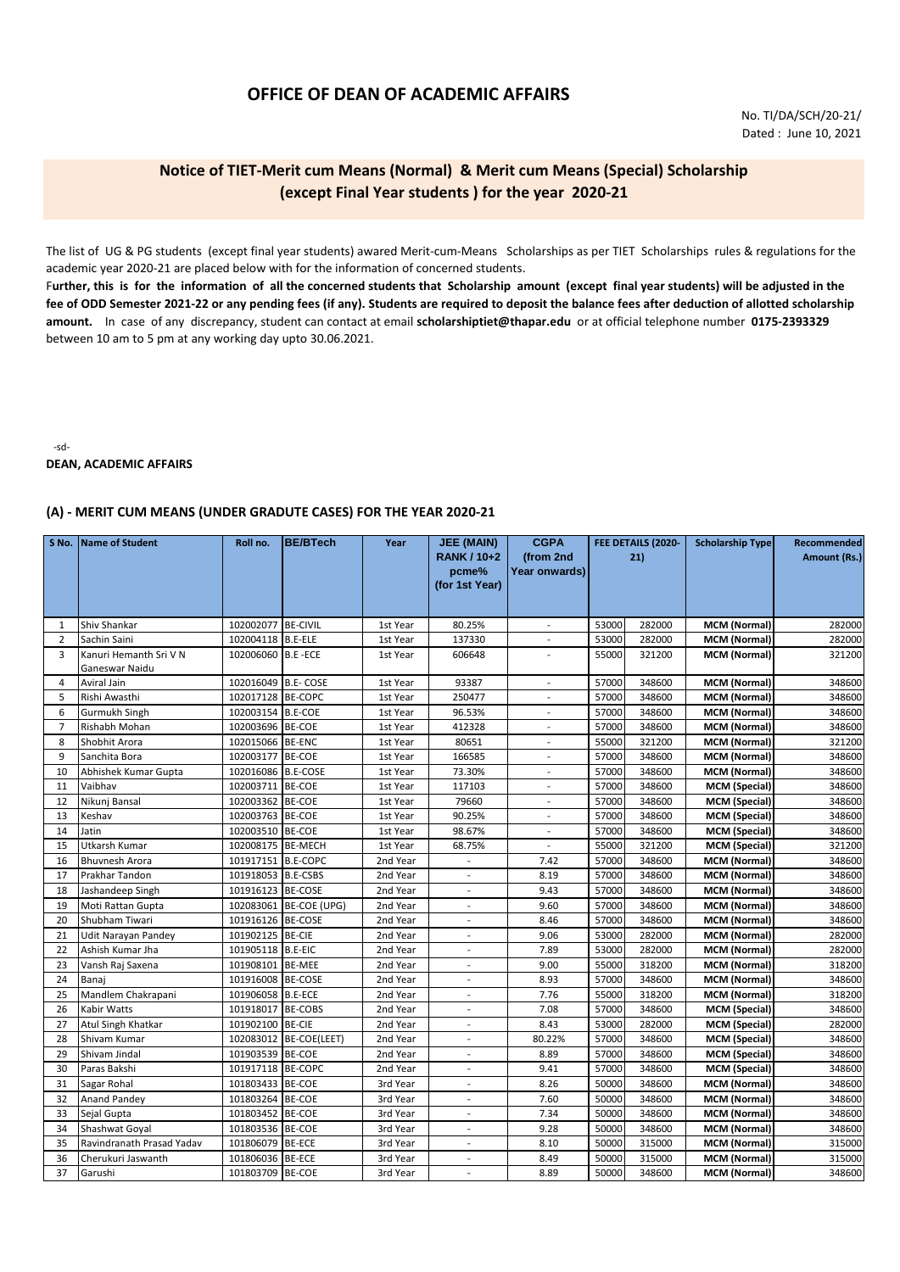# **OFFICE OF DEAN OF ACADEMIC AFFAIRS**

### **Notice of TIET-Merit cum Means (Normal) & Merit cum Means (Special) Scholarship (except Final Year students ) for the year 2020-21**

The list of UG & PG students (except final year students) awared Merit-cum-Means Scholarships as per TIET Scholarships rules & regulations for the academic year 2020-21 are placed below with for the information of concerned students.

F**urther, this is for the information of all the concerned students that Scholarship amount (except final year students) will be adjusted in the fee of ODD Semester 2021-22 or any pending fees (if any). Students are required to deposit the balance fees after deduction of allotted scholarship amount.** In case of any discrepancy, student can contact at email **scholarshiptiet@thapar.edu** or at official telephone number **0175-2393329**  between 10 am to 5 pm at any working day upto 30.06.2021.

-sd-

#### **DEAN, ACADEMIC AFFAIRS**

### **(A) - MERIT CUM MEANS (UNDER GRADUTE CASES) FOR THE YEAR 2020-21**

| S No.          | Name of Student           | Roll no.            | <b>BE/BTech</b>        | Year     | <b>JEE (MAIN)</b><br><b>RANK / 10+2</b><br>pcme%<br>(for 1st Year) | <b>CGPA</b><br>(from 2nd<br>Year onwards) | FEE DETAILS (2020-<br>21) |        | <b>Scholarship Type</b> | Recommended<br>Amount (Rs.) |
|----------------|---------------------------|---------------------|------------------------|----------|--------------------------------------------------------------------|-------------------------------------------|---------------------------|--------|-------------------------|-----------------------------|
|                |                           |                     |                        |          |                                                                    |                                           |                           |        |                         |                             |
| 1              | Shiv Shankar              | 102002077 BE-CIVIL  |                        | 1st Year | 80.25%                                                             |                                           | 53000                     | 282000 | <b>MCM (Normal)</b>     | 282000                      |
| $\overline{2}$ | Sachin Saini              | 102004118 B.E-ELE   |                        | 1st Year | 137330                                                             | $\overline{\phantom{a}}$                  | 53000                     | 282000 | <b>MCM (Normal)</b>     | 282000                      |
| 3              | Kanuri Hemanth Sri V N    | 102006060 B.E - ECE |                        | 1st Year | 606648                                                             |                                           | 55000                     | 321200 | MCM (Normal)            | 321200                      |
|                | Ganeswar Naidu            |                     |                        |          |                                                                    |                                           |                           |        |                         |                             |
| 4              | Aviral Jain               | 102016049           | <b>B.E-COSE</b>        | 1st Year | 93387                                                              | $\overline{\phantom{a}}$                  | 57000                     | 348600 | <b>MCM (Normal)</b>     | 348600                      |
| 5              | Rishi Awasthi             | 102017128           | <b>BE-COPC</b>         | 1st Year | 250477                                                             | $\overline{\phantom{a}}$                  | 57000                     | 348600 | <b>MCM (Normal)</b>     | 348600                      |
| 6              | Gurmukh Singh             | 102003154 B.E-COE   |                        | 1st Year | 96.53%                                                             |                                           | 57000                     | 348600 | <b>MCM (Normal)</b>     | 348600                      |
| $\overline{7}$ | Rishabh Mohan             | 102003696           | <b>BE-COE</b>          | 1st Year | 412328                                                             | $\overline{\phantom{a}}$                  | 57000                     | 348600 | <b>MCM (Normal)</b>     | 348600                      |
| 8              | Shobhit Arora             | 102015066           | <b>BE-ENC</b>          | 1st Year | 80651                                                              | $\overline{\phantom{a}}$                  | 55000                     | 321200 | <b>MCM (Normal)</b>     | 321200                      |
| 9              | Sanchita Bora             | 102003177           | <b>BE-COE</b>          | 1st Year | 166585                                                             | $\overline{\phantom{a}}$                  | 57000                     | 348600 | <b>MCM (Normal)</b>     | 348600                      |
| 10             | Abhishek Kumar Gupta      | 102016086 B.E-COSE  |                        | 1st Year | 73.30%                                                             | $\mathbf{r}$                              | 57000                     | 348600 | <b>MCM (Normal)</b>     | 348600                      |
| 11             | Vaibhav                   | 102003711           | <b>BE-COE</b>          | 1st Year | 117103                                                             | $\overline{\phantom{a}}$                  | 57000                     | 348600 | <b>MCM</b> (Special)    | 348600                      |
| 12             | Nikunj Bansal             | 102003362           | <b>BE-COE</b>          | 1st Year | 79660                                                              | $\overline{a}$                            | 57000                     | 348600 | <b>MCM</b> (Special)    | 348600                      |
| 13             | Keshav                    | 102003763           | <b>BE-COE</b>          | 1st Year | 90.25%                                                             |                                           | 57000                     | 348600 | <b>MCM</b> (Special)    | 348600                      |
| 14             | Jatin                     | 102003510 BE-COE    |                        | 1st Year | 98.67%                                                             | $\overline{\phantom{a}}$                  | 57000                     | 348600 | <b>MCM</b> (Special)    | 348600                      |
| 15             | Utkarsh Kumar             | 102008175           | <b>BE-MECH</b>         | 1st Year | 68.75%                                                             | $\overline{\phantom{m}}$                  | 55000                     | 321200 | <b>MCM</b> (Special)    | 321200                      |
| 16             | <b>Bhuvnesh Arora</b>     | 101917151           | <b>B.E-COPC</b>        | 2nd Year | $\overline{a}$                                                     | 7.42                                      | 57000                     | 348600 | <b>MCM (Normal)</b>     | 348600                      |
| 17             | Prakhar Tandon            | 101918053 B.E-CSBS  |                        | 2nd Year | $\sim$                                                             | 8.19                                      | 57000                     | 348600 | MCM (Normal)            | 348600                      |
| 18             | Jashandeep Singh          | 101916123           | <b>BE-COSE</b>         | 2nd Year | $\sim$                                                             | 9.43                                      | 57000                     | 348600 | MCM (Normal)            | 348600                      |
| 19             | Moti Rattan Gupta         |                     | 102083061 BE-COE (UPG) | 2nd Year | $\sim$                                                             | 9.60                                      | 57000                     | 348600 | <b>MCM (Normal)</b>     | 348600                      |
| 20             | Shubham Tiwari            | 101916126           | <b>BE-COSE</b>         | 2nd Year |                                                                    | 8.46                                      | 57000                     | 348600 | <b>MCM (Normal)</b>     | 348600                      |
| 21             | Udit Narayan Pandey       | 101902125           | <b>BE-CIE</b>          | 2nd Year | $\sim$                                                             | 9.06                                      | 53000                     | 282000 | <b>MCM (Normal)</b>     | 282000                      |
| 22             | Ashish Kumar Jha          | 101905118 B.E-EIC   |                        | 2nd Year | $\sim$                                                             | 7.89                                      | 53000                     | 282000 | MCM (Normal)            | 282000                      |
| 23             | Vansh Raj Saxena          | 101908101           | <b>BE-MEE</b>          | 2nd Year | $\overline{\phantom{a}}$                                           | 9.00                                      | 55000                     | 318200 | <b>MCM (Normal)</b>     | 318200                      |
| 24             | Banaj                     | 101916008           | <b>BE-COSE</b>         | 2nd Year | $\sim$                                                             | 8.93                                      | 57000                     | 348600 | <b>MCM (Normal)</b>     | 348600                      |
| 25             | Mandlem Chakrapani        | 101906058 B.E-ECE   |                        | 2nd Year | $\overline{\phantom{a}}$                                           | 7.76                                      | 55000                     | 318200 | MCM (Normal)            | 318200                      |
| 26             | Kabir Watts               | 101918017 BE-COBS   |                        | 2nd Year | $\overline{\phantom{a}}$                                           | 7.08                                      | 57000                     | 348600 | <b>MCM</b> (Special)    | 348600                      |
| 27             | Atul Singh Khatkar        | 101902100 BE-CIE    |                        | 2nd Year |                                                                    | 8.43                                      | 53000                     | 282000 | MCM (Special)           | 282000                      |
| 28             | Shivam Kumar              | 102083012           | BE-COE(LEET)           | 2nd Year | $\sim$                                                             | 80.22%                                    | 57000                     | 348600 | <b>MCM</b> (Special)    | 348600                      |
| 29             | Shivam Jindal             | 101903539           | <b>BE-COE</b>          | 2nd Year | $\sim$                                                             | 8.89                                      | 57000                     | 348600 | <b>MCM</b> (Special)    | 348600                      |
| 30             | Paras Bakshi              | 101917118           | <b>BE-COPC</b>         | 2nd Year | $\overline{\phantom{a}}$                                           | 9.41                                      | 57000                     | 348600 | MCM (Special)           | 348600                      |
| 31             | Sagar Rohal               | 101803433           | <b>BE-COE</b>          | 3rd Year | $\sim$                                                             | 8.26                                      | 50000                     | 348600 | MCM (Normal)            | 348600                      |
| 32             | <b>Anand Pandey</b>       | 101803264           | <b>BE-COE</b>          | 3rd Year | $\sim$                                                             | 7.60                                      | 50000                     | 348600 | MCM (Normal)            | 348600                      |
| 33             | Sejal Gupta               | 101803452           | <b>BE-COE</b>          | 3rd Year | $\overline{\phantom{a}}$                                           | 7.34                                      | 50000                     | 348600 | <b>MCM (Normal)</b>     | 348600                      |
| 34             | Shashwat Goyal            | 101803536           | <b>BE-COE</b>          | 3rd Year |                                                                    | 9.28                                      | 50000                     | 348600 | MCM (Normal)            | 348600                      |
| 35             | Ravindranath Prasad Yadav | 101806079           | <b>BE-ECE</b>          | 3rd Year | $\sim$                                                             | 8.10                                      | 50000                     | 315000 | <b>MCM (Normal)</b>     | 315000                      |
| 36             | Cherukuri Jaswanth        | 101806036           | <b>BE-ECE</b>          | 3rd Year | $\overline{a}$                                                     | 8.49                                      | 50000                     | 315000 | MCM (Normal)            | 315000                      |
| 37             | Garushi                   | 101803709 BE-COE    |                        | 3rd Year | $\sim$                                                             | 8.89                                      | 50000                     | 348600 | <b>MCM (Normal)</b>     | 348600                      |